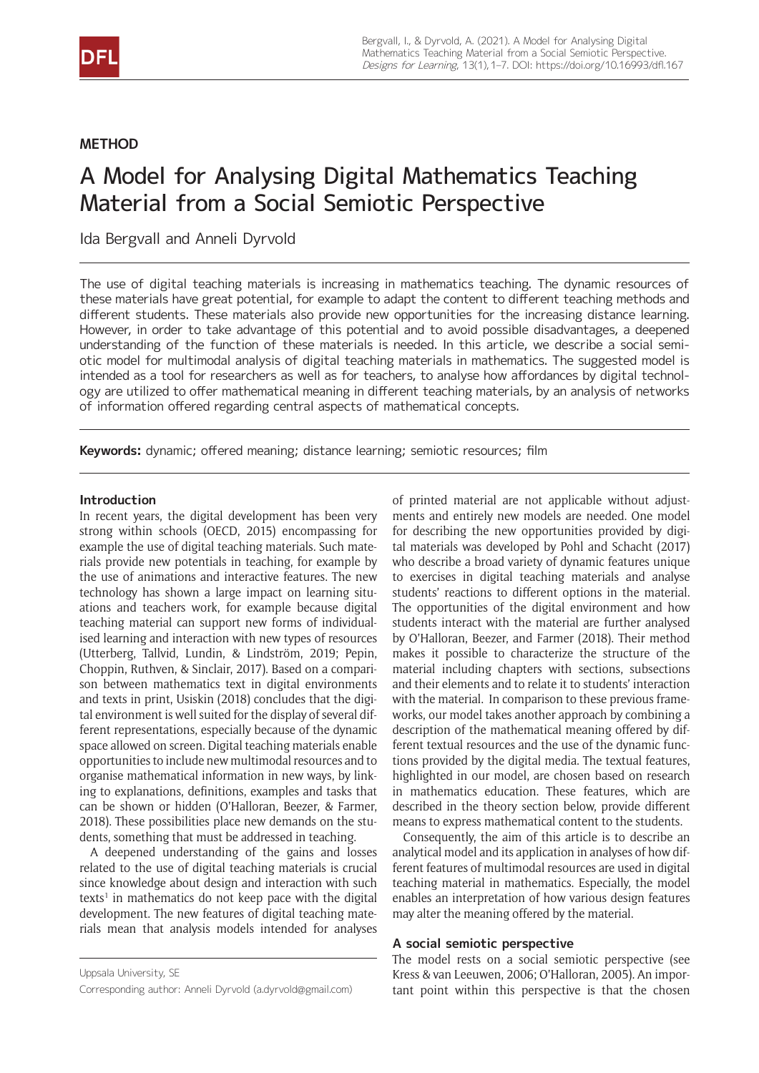

# **METHOD**

# A Model for Analysing Digital Mathematics Teaching Material from a Social Semiotic Perspective

Ida Bergvall and Anneli Dyrvold

The use of digital teaching materials is increasing in mathematics teaching. The dynamic resources of these materials have great potential, for example to adapt the content to different teaching methods and different students. These materials also provide new opportunities for the increasing distance learning. However, in order to take advantage of this potential and to avoid possible disadvantages, a deepened understanding of the function of these materials is needed. In this article, we describe a social semiotic model for multimodal analysis of digital teaching materials in mathematics. The suggested model is intended as a tool for researchers as well as for teachers, to analyse how affordances by digital technology are utilized to offer mathematical meaning in different teaching materials, by an analysis of networks of information offered regarding central aspects of mathematical concepts.

**Keywords:** dynamic; offered meaning; distance learning; semiotic resources; film

# **Introduction**

In recent years, the digital development has been very strong within schools (OECD, 2015) encompassing for example the use of digital teaching materials. Such materials provide new potentials in teaching, for example by the use of animations and interactive features. The new technology has shown a large impact on learning situations and teachers work, for example because digital teaching material can support new forms of individualised learning and interaction with new types of resources (Utterberg, Tallvid, Lundin, & Lindström, 2019; Pepin, Choppin, Ruthven, & Sinclair, 2017). Based on a comparison between mathematics text in digital environments and texts in print, Usiskin (2018) concludes that the digital environment is well suited for the display of several different representations, especially because of the dynamic space allowed on screen. Digital teaching materials enable opportunities to include new multimodal resources and to organise mathematical information in new ways, by linking to explanations, definitions, examples and tasks that can be shown or hidden (O'Halloran, Beezer, & Farmer, 2018). These possibilities place new demands on the students, something that must be addressed in teaching.

A deepened understanding of the gains and losses related to the use of digital teaching materials is crucial since knowledge about design and interaction with such texts<sup>1</sup> in mathematics do not keep pace with the digital development. The new features of digital teaching materials mean that analysis models intended for analyses of printed material are not applicable without adjustments and entirely new models are needed. One model for describing the new opportunities provided by digital materials was developed by Pohl and Schacht (2017) who describe a broad variety of dynamic features unique to exercises in digital teaching materials and analyse students' reactions to different options in the material. The opportunities of the digital environment and how students interact with the material are further analysed by O'Halloran, Beezer, and Farmer (2018). Their method makes it possible to characterize the structure of the material including chapters with sections, subsections and their elements and to relate it to students' interaction with the material. In comparison to these previous frameworks, our model takes another approach by combining a description of the mathematical meaning offered by different textual resources and the use of the dynamic functions provided by the digital media. The textual features, highlighted in our model, are chosen based on research in mathematics education. These features, which are described in the theory section below, provide different means to express mathematical content to the students.

Consequently, the aim of this article is to describe an analytical model and its application in analyses of how different features of multimodal resources are used in digital teaching material in mathematics. Especially, the model enables an interpretation of how various design features may alter the meaning offered by the material.

#### **A social semiotic perspective**

The model rests on a social semiotic perspective (see Kress & van Leeuwen, 2006; O'Halloran, 2005). An important point within this perspective is that the chosen

Uppsala University, SE

Corresponding author: Anneli Dyrvold ([a.dyrvold@gmail.com\)](mailto:a.dyrvold@gmail.com)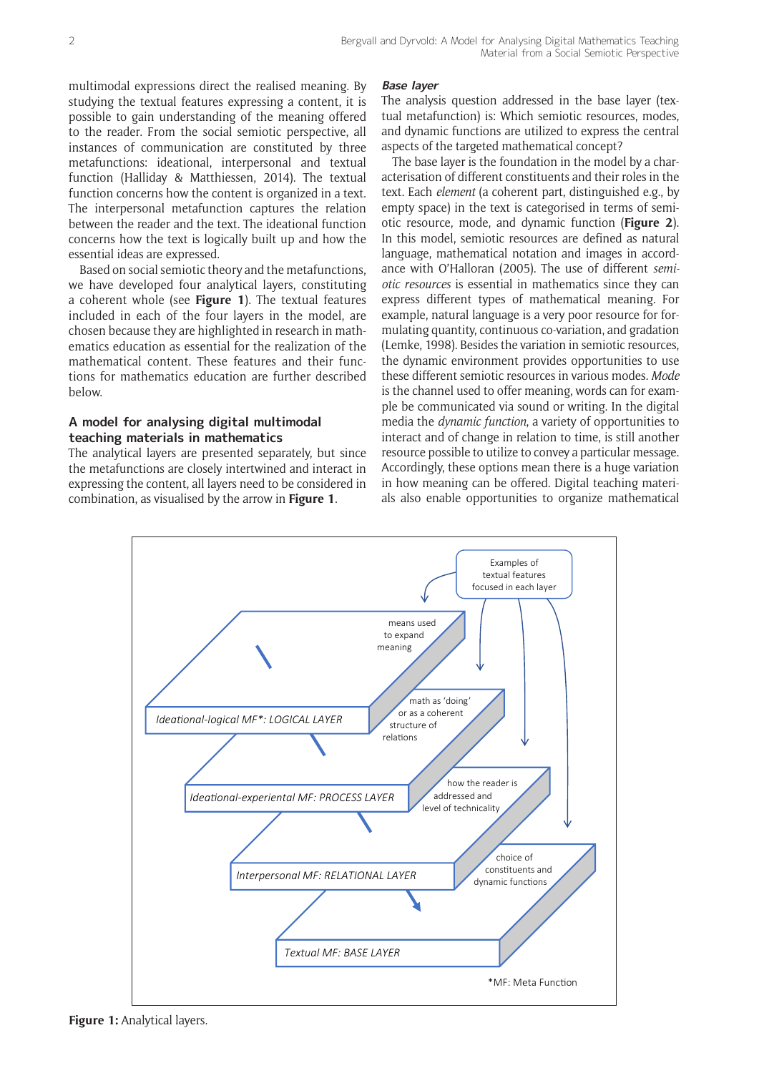multimodal expressions direct the realised meaning. By studying the textual features expressing a content, it is possible to gain understanding of the meaning offered to the reader. From the social semiotic perspective, all instances of communication are constituted by three metafunctions: ideational, interpersonal and textual function (Halliday & Matthiessen, 2014). The textual function concerns how the content is organized in a text. The interpersonal metafunction captures the relation between the reader and the text. The ideational function concerns how the text is logically built up and how the essential ideas are expressed.

Based on social semiotic theory and the metafunctions, we have developed four analytical layers, constituting a coherent whole (see **Figure 1**). The textual features included in each of the four layers in the model, are chosen because they are highlighted in research in mathematics education as essential for the realization of the mathematical content. These features and their functions for mathematics education are further described below.

# **A model for analysing digital multimodal teaching materials in mathematics**

The analytical layers are presented separately, but since the metafunctions are closely intertwined and interact in expressing the content, all layers need to be considered in combination, as visualised by the arrow in **Figure 1**.

# **Base layer**

The analysis question addressed in the base layer (textual metafunction) is: Which semiotic resources, modes, and dynamic functions are utilized to express the central aspects of the targeted mathematical concept?

The base layer is the foundation in the model by a characterisation of different constituents and their roles in the text. Each *element* (a coherent part, distinguished e.g., by empty space) in the text is categorised in terms of semiotic resource, mode, and dynamic function (**Figure 2**). In this model, semiotic resources are defined as natural language, mathematical notation and images in accordance with O'Halloran (2005). The use of different *semiotic resources* is essential in mathematics since they can express different types of mathematical meaning. For example, natural language is a very poor resource for formulating quantity, continuous co-variation, and gradation (Lemke, 1998). Besides the variation in semiotic resources, the dynamic environment provides opportunities to use these different semiotic resources in various modes*. Mode* is the channel used to offer meaning, words can for example be communicated via sound or writing. In the digital media the *dynamic function*, a variety of opportunities to interact and of change in relation to time, is still another resource possible to utilize to convey a particular message. Accordingly, these options mean there is a huge variation in how meaning can be offered. Digital teaching materials also enable opportunities to organize mathematical



**Figure 1:** Analytical layers.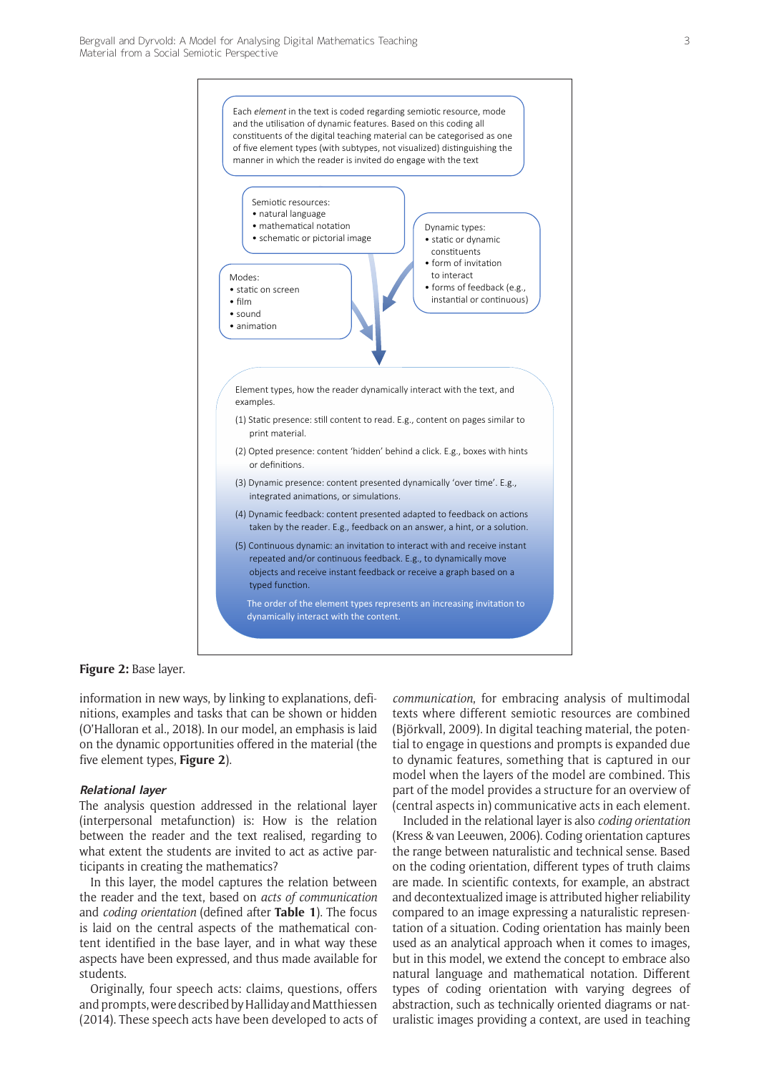

**Figure 2:** Base layer.

information in new ways, by linking to explanations, definitions, examples and tasks that can be shown or hidden (O'Halloran et al., 2018). In our model, an emphasis is laid on the dynamic opportunities offered in the material (the five element types, **Figure 2**).

#### **Relational layer**

The analysis question addressed in the relational layer (interpersonal metafunction) is: How is the relation between the reader and the text realised, regarding to what extent the students are invited to act as active participants in creating the mathematics?

In this layer, the model captures the relation between the reader and the text, based on *acts of communication* and *coding orientation* (defined after **Table 1**). The focus is laid on the central aspects of the mathematical content identified in the base layer, and in what way these aspects have been expressed, and thus made available for students.

Originally, four speech acts: claims, questions, offers and prompts, were described by Halliday and Matthiessen (2014). These speech acts have been developed to acts of *communication*, for embracing analysis of multimodal texts where different semiotic resources are combined (Björkvall, 2009). In digital teaching material, the potential to engage in questions and prompts is expanded due to dynamic features, something that is captured in our model when the layers of the model are combined. This part of the model provides a structure for an overview of (central aspects in) communicative acts in each element.

Included in the relational layer is also *coding orientation* (Kress & van Leeuwen, 2006). Coding orientation captures the range between naturalistic and technical sense. Based on the coding orientation, different types of truth claims are made. In scientific contexts, for example, an abstract and decontextualized image is attributed higher reliability compared to an image expressing a naturalistic representation of a situation. Coding orientation has mainly been used as an analytical approach when it comes to images, but in this model, we extend the concept to embrace also natural language and mathematical notation. Different types of coding orientation with varying degrees of abstraction, such as technically oriented diagrams or naturalistic images providing a context, are used in teaching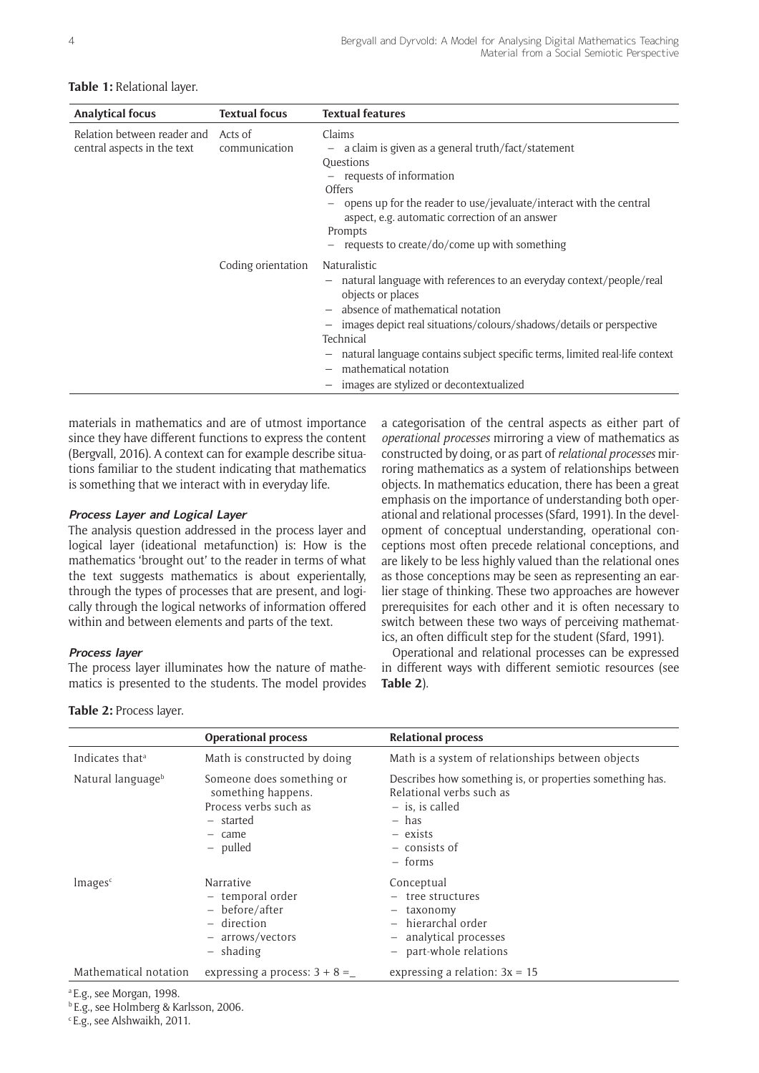#### **Table 1:** Relational layer.

| <b>Analytical focus</b>                                    | <b>Textual focus</b>     | <b>Textual features</b>                                                                                                                                                                                                                                                                                                                                                                                                                                                                            |
|------------------------------------------------------------|--------------------------|----------------------------------------------------------------------------------------------------------------------------------------------------------------------------------------------------------------------------------------------------------------------------------------------------------------------------------------------------------------------------------------------------------------------------------------------------------------------------------------------------|
| Relation between reader and<br>central aspects in the text | Acts of<br>communication | Claims<br>$-$ a claim is given as a general truth/fact/statement<br>Questions<br>- requests of information<br><b>Offers</b><br>opens up for the reader to use/jevaluate/interact with the central<br>aspect, e.g. automatic correction of an answer<br>Prompts<br>$-$ requests to create/do/come up with something                                                                                                                                                                                 |
|                                                            | Coding orientation       | Naturalistic<br>natural language with references to an everyday context/people/real<br>$\overline{\phantom{m}}$<br>objects or places<br>absence of mathematical notation<br>$\overline{\phantom{m}}$<br>images depict real situations/colours/shadows/details or perspective<br>-<br>Technical<br>natural language contains subject specific terms, limited real-life context<br>$\qquad \qquad -$<br>mathematical notation<br>$\overline{\phantom{0}}$<br>images are stylized or decontextualized |

materials in mathematics and are of utmost importance since they have different functions to express the content (Bergvall, 2016). A context can for example describe situations familiar to the student indicating that mathematics is something that we interact with in everyday life.

#### **Process Layer and Logical Layer**

The analysis question addressed in the process layer and logical layer (ideational metafunction) is: How is the mathematics 'brought out' to the reader in terms of what the text suggests mathematics is about experientally, through the types of processes that are present, and logically through the logical networks of information offered within and between elements and parts of the text.

#### **Process layer**

The process layer illuminates how the nature of mathematics is presented to the students. The model provides a categorisation of the central aspects as either part of *operational processes* mirroring a view of mathematics as constructed by doing, or as part of *relational processes* mirroring mathematics as a system of relationships between objects. In mathematics education, there has been a great emphasis on the importance of understanding both operational and relational processes (Sfard, 1991). In the development of conceptual understanding, operational conceptions most often precede relational conceptions, and are likely to be less highly valued than the relational ones as those conceptions may be seen as representing an earlier stage of thinking. These two approaches are however prerequisites for each other and it is often necessary to switch between these two ways of perceiving mathematics, an often difficult step for the student (Sfard, 1991).

Operational and relational processes can be expressed in different ways with different semiotic resources (see **Table 2**).

|                               | <b>Operational process</b>                                                                                  | <b>Relational process</b>                                                                                                                                  |  |
|-------------------------------|-------------------------------------------------------------------------------------------------------------|------------------------------------------------------------------------------------------------------------------------------------------------------------|--|
| Indicates that <sup>a</sup>   | Math is constructed by doing                                                                                | Math is a system of relationships between objects                                                                                                          |  |
| Natural language <sup>b</sup> | Someone does something or<br>something happens.<br>Process verbs such as<br>- started<br>- came<br>- pulled | Describes how something is, or properties something has.<br>Relational verbs such as<br>$-$ is, is called<br>– has<br>- exists<br>- consists of<br>- forms |  |
| Images <sup>c</sup>           | Narrative<br>- temporal order<br>$-$ before/after<br>- direction<br>- arrows/vectors<br>- shading           | Conceptual<br>$-$ tree structures<br>- taxonomy<br>- hierarchal order<br>- analytical processes<br>- part-whole relations                                  |  |
| Mathematical notation         | expressing a process: $3 + 8 =$                                                                             | expressing a relation: $3x = 15$                                                                                                                           |  |

**Table 2:** Process layer.

a E.g., see Morgan, 1998.

b E.g., see Holmberg & Karlsson, 2006.

c E.g., see Alshwaikh, 2011.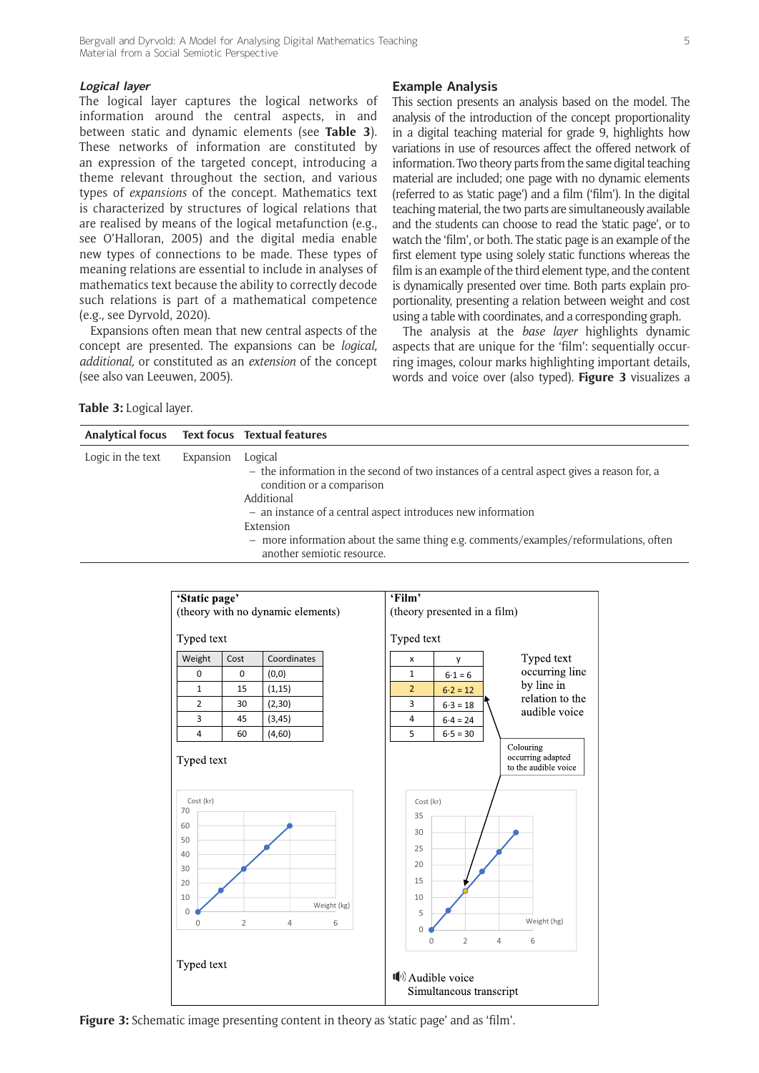### **Logical layer**

The logical layer captures the logical networks of information around the central aspects, in and between static and dynamic elements (see **Table 3**). These networks of information are constituted by an expression of the targeted concept, introducing a theme relevant throughout the section, and various types of *expansions* of the concept. Mathematics text is characterized by structures of logical relations that are realised by means of the logical metafunction (e.g., see O'Halloran, 2005) and the digital media enable new types of connections to be made. These types of meaning relations are essential to include in analyses of mathematics text because the ability to correctly decode such relations is part of a mathematical competence (e.g., see Dyrvold, 2020).

Expansions often mean that new central aspects of the concept are presented. The expansions can be *logical, additional,* or constituted as an *extension* of the concept (see also van Leeuwen, 2005).

# **Example Analysis**

This section presents an analysis based on the model. The analysis of the introduction of the concept proportionality in a digital teaching material for grade 9, highlights how variations in use of resources affect the offered network of information. Two theory parts from the same digital teaching material are included; one page with no dynamic elements (referred to as 'static page') and a film ('film'). In the digital teaching material, the two parts are simultaneously available and the students can choose to read the 'static page', or to watch the 'film', or both. The static page is an example of the first element type using solely static functions whereas the film is an example of the third element type, and the content is dynamically presented over time. Both parts explain proportionality, presenting a relation between weight and cost using a table with coordinates, and a corresponding graph.

The analysis at the *base layer* highlights dynamic aspects that are unique for the 'film': sequentially occurring images, colour marks highlighting important details, words and voice over (also typed). **Figure 3** visualizes a

**Table 3:** Logical layer.

| Analytical focus Text focus Textual features |           |                                                                                                                                                                                                                                                                                                                                                       |
|----------------------------------------------|-----------|-------------------------------------------------------------------------------------------------------------------------------------------------------------------------------------------------------------------------------------------------------------------------------------------------------------------------------------------------------|
| Logic in the text                            | Expansion | Logical<br>$-$ the information in the second of two instances of a central aspect gives a reason for, a<br>condition or a comparison<br>Additional<br>- an instance of a central aspect introduces new information<br>Extension<br>- more information about the same thing e.g. comments/examples/reformulations, often<br>another semiotic resource. |



**Figure 3:** Schematic image presenting content in theory as 'static page' and as 'film'.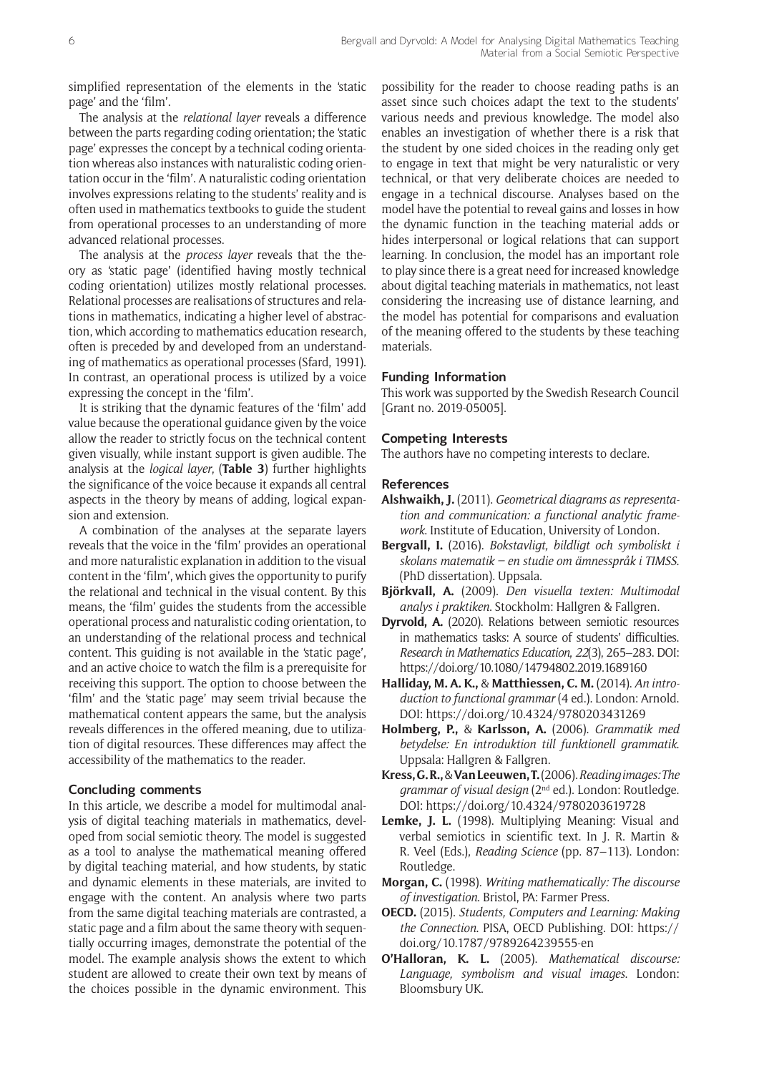simplified representation of the elements in the 'static page' and the 'film'.

The analysis at the *relational layer* reveals a difference between the parts regarding coding orientation; the 'static page' expresses the concept by a technical coding orientation whereas also instances with naturalistic coding orientation occur in the 'film'. A naturalistic coding orientation involves expressions relating to the students' reality and is often used in mathematics textbooks to guide the student from operational processes to an understanding of more advanced relational processes.

The analysis at the *process layer* reveals that the theory as 'static page' (identified having mostly technical coding orientation) utilizes mostly relational processes. Relational processes are realisations of structures and relations in mathematics, indicating a higher level of abstraction, which according to mathematics education research, often is preceded by and developed from an understanding of mathematics as operational processes (Sfard, 1991). In contrast, an operational process is utilized by a voice expressing the concept in the 'film'.

It is striking that the dynamic features of the 'film' add value because the operational guidance given by the voice allow the reader to strictly focus on the technical content given visually, while instant support is given audible. The analysis at the *logical layer*, (**Table 3**) further highlights the significance of the voice because it expands all central aspects in the theory by means of adding, logical expansion and extension.

A combination of the analyses at the separate layers reveals that the voice in the 'film' provides an operational and more naturalistic explanation in addition to the visual content in the 'film', which gives the opportunity to purify the relational and technical in the visual content. By this means, the 'film' guides the students from the accessible operational process and naturalistic coding orientation, to an understanding of the relational process and technical content. This guiding is not available in the 'static page', and an active choice to watch the film is a prerequisite for receiving this support. The option to choose between the 'film' and the 'static page' may seem trivial because the mathematical content appears the same, but the analysis reveals differences in the offered meaning, due to utilization of digital resources. These differences may affect the accessibility of the mathematics to the reader.

# **Concluding comments**

In this article, we describe a model for multimodal analysis of digital teaching materials in mathematics, developed from social semiotic theory. The model is suggested as a tool to analyse the mathematical meaning offered by digital teaching material, and how students, by static and dynamic elements in these materials, are invited to engage with the content. An analysis where two parts from the same digital teaching materials are contrasted, a static page and a film about the same theory with sequentially occurring images, demonstrate the potential of the model. The example analysis shows the extent to which student are allowed to create their own text by means of the choices possible in the dynamic environment. This

possibility for the reader to choose reading paths is an asset since such choices adapt the text to the students' various needs and previous knowledge. The model also enables an investigation of whether there is a risk that the student by one sided choices in the reading only get to engage in text that might be very naturalistic or very technical, or that very deliberate choices are needed to engage in a technical discourse. Analyses based on the model have the potential to reveal gains and losses in how the dynamic function in the teaching material adds or hides interpersonal or logical relations that can support learning. In conclusion, the model has an important role to play since there is a great need for increased knowledge about digital teaching materials in mathematics, not least considering the increasing use of distance learning, and the model has potential for comparisons and evaluation of the meaning offered to the students by these teaching materials.

# **Funding Information**

This work was supported by the Swedish Research Council [Grant no. 2019-05005].

# **Competing Interests**

The authors have no competing interests to declare.

#### **References**

- **Alshwaikh, J.** (2011). *Geometrical diagrams as representation and communication: a functional analytic framework*. Institute of Education, University of London.
- **Bergvall, I.** (2016). *Bokstavligt, bildligt och symboliskt i skolans matematik – en studie om ämnesspråk i TIMSS*. (PhD dissertation). Uppsala.
- **Björkvall, A.** (2009). *Den visuella texten: Multimodal analys i praktiken*. Stockholm: Hallgren & Fallgren.
- **Dyrvold, A.** (2020). Relations between semiotic resources in mathematics tasks: A source of students' difficulties. *Research in Mathematics Education*, *22*(3), 265–283. DOI: <https://doi.org/10.1080/14794802.2019.1689160>
- **Halliday, M. A. K.,** & **Matthiessen, C. M.** (2014). *An introduction to functional grammar* (4 ed.). London: Arnold. DOI:<https://doi.org/10.4324/9780203431269>
- **Holmberg, P.,** & **Karlsson, A.** (2006). *Grammatik med betydelse: En introduktion till funktionell grammatik*. Uppsala: Hallgren & Fallgren.
- **Kress, G. R.,** & **Van Leeuwen, T.** (2006). *Reading images: The grammar of visual design* (2nd ed.). London: Routledge. DOI:<https://doi.org/10.4324/9780203619728>
- **Lemke, J. L.** (1998). Multiplying Meaning: Visual and verbal semiotics in scientific text. In J. R. Martin & R. Veel (Eds.), *Reading Science* (pp. 87–113). London: Routledge.
- **Morgan, C.** (1998). *Writing mathematically: The discourse of investigation*. Bristol, PA: Farmer Press.
- **OECD.** (2015). *Students, Computers and Learning: Making the Connection*. PISA, OECD Publishing. DOI: [https://](https://doi.org/10.1787/9789264239555-en) [doi.org/10.1787/9789264239555-en](https://doi.org/10.1787/9789264239555-en)
- **O'Halloran, K. L.** (2005). *Mathematical discourse: Language, symbolism and visual images*. London: Bloomsbury UK.